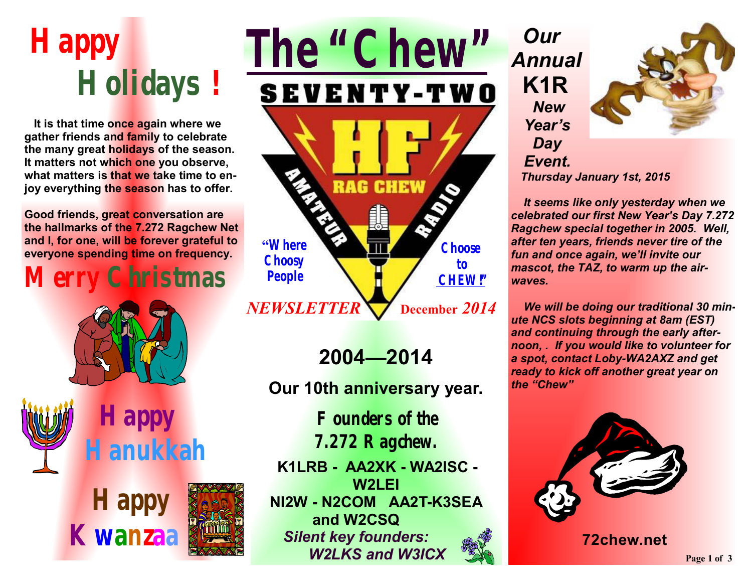# **Happy Holidays** *!*

 **It is that time once again where we gather friends and family to celebrate the many great holidays of the season. It matters not which one you observe, what matters is that we take time to enjoy everything the season has to offer.** 

**Good friends, great conversation are the hallmarks of the 7.272 Ragchew Net and I, for one, will be forever grateful to everyone spending time on frequency.** 

# **Merry Christmas**



 **Happy Hanukkah** 





**2004—2014** 

**Our 10th anniversary year.** 

**Founders of the 7.272 Ragchew.**

**K1LRB - AA2XK - WA2ISC - W2LEI NI2W - N2COM AA2T-K3SEA and W2CSQ**  *Silent key founders: W2LKS and W3ICX*

*Our Annual* **K1R**  *New Year's Day Event.* 



 *Thursday January 1st, 2015*

 *It seems like only yesterday when we celebrated our first New Year's Day 7.272 Ragchew special together in 2005. Well, after ten years, friends never tire of the fun and once again, we'll invite our mascot, the TAZ, to warm up the airwaves.* 

 *We will be doing our traditional 30 minute NCS slots beginning at 8am (EST) and continuing through the early afternoon, . If you would like to volunteer for a spot, contact Loby-WA2AXZ and get ready to kick off another great year on the "Chew"* 



**72chew.net**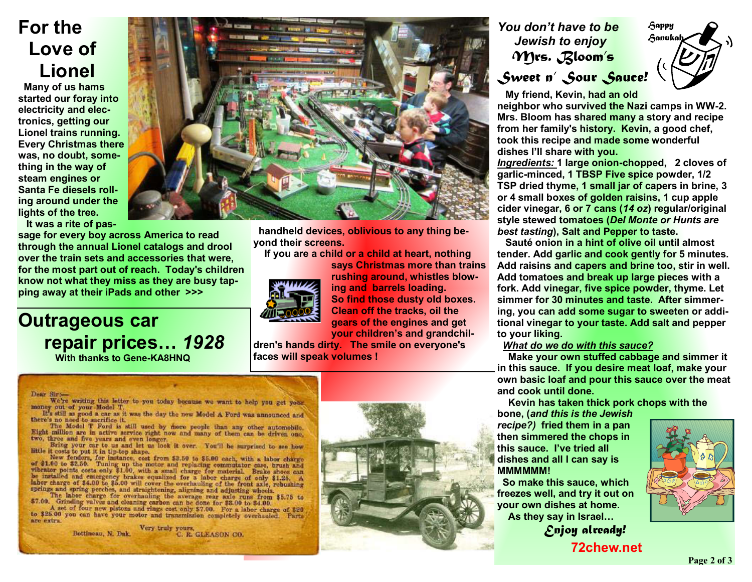# **For the Love of Lionel**

 **Many of us hams started our foray into electricity and electronics, getting our Lionel trains running. Every Christmas there was, no doubt, something in the way of steam engines or Santa Fe diesels rolling around under the lights of the tree. It was a rite of pas-**

**sage for every boy across America to read through the annual Lionel catalogs and drool over the train sets and accessories that were, for the most part out of reach. Today's children know not what they miss as they are busy tapping away at their iPads and other >>>** 

## **Outrageous car repair prices…** *1928*  **With thanks to Gene-KA8HNQ**

# **handheld devices, oblivious to any thing beyond their screens.**

 **If you are a child or a child at heart, nothing** 



**says Christmas more than trains rushing around, whistles blowing and barrels loading. So find those dusty old boxes. Clean off the tracks, oil the gears of the engines and get your children's and grandchil-**

**dren's hands dirty. The smile on everyone's faces will speak volumes !**

#### Dear Sirs

We're writing this letter to you today because we want to help you get your money out of your Model T.<br>It's still as good a car as it was the day the new Model A Ford was announced and

there's no need to sacrifice it. The Model T Ford is still used by there people than any other automobile.<br>Eight million are in active service right now and many of them can be driven one. two, three and five years and even longer.

Bring your car to us and let us look it over. You'll be surprised to see how little it costs to put it in tip-top shape.

New fenders, for instance, cost from \$3.50 to \$5.00 each, with a labor charge of \$1.00 to \$2.50. Tuning up the motor and replacing commutator case, brush and vibrator points costs only \$1.00, with a small charge for materi be installed and entergency brakes equalized for a labor charge of only \$1.25. A labor charge of \$4.00 to \$5.00 will cover the overhauling of the front axle, rebushing springs and spring perches, and straightening, aligning and adjusting wheels.

The labor charge for overhauling the average rear axle runs from \$5.75 to<br>\$7.00. Grinding valves and cleaning carbon can be done for \$8.00 to \$4.00.<br>A set of four new pistons and rings cost only \$7.00. For a labor charge o

to \$25.00 you can have your motor and transmission completely overhauled. Parts are extra.

> truly yours Bottineau, N. Dak. C. R. GLEASON CO.



### *You don't have to be Jewish to enjoy Mrs. Bloom's Sweet n' Sour Sauce!*



 **My friend, Kevin, had an old** 

**neighbor who survived the Nazi camps in WW-2. Mrs. Bloom has shared many a story and recipe from her family's history. Kevin, a good chef, took this recipe and made some wonderful dishes I'll share with you.** 

*Ingredients:* **1 large onion-chopped, 2 cloves of garlic-minced, 1 TBSP Five spice powder, 1/2 TSP dried thyme, 1 small jar of capers in brine, 3 or 4 small boxes of golden raisins, 1 cup apple cider vinegar, 6 or 7 cans (***14 oz***) regular/original style stewed tomatoes (***Del Monte or Hunts are best tasting***), Salt and Pepper to taste.** 

 **Sauté onion in a hint of olive oil until almost tender. Add garlic and cook gently for 5 minutes. Add raisins and capers and brine too, stir in well. Add tomatoes and break up large pieces with a fork. Add vinegar, five spice powder, thyme. Let simmer for 30 minutes and taste. After simmering, you can add some sugar to sweeten or additional vinegar to your taste. Add salt and pepper to your liking.** 

#### *What do we do with this sauce?*

 **Make your own stuffed cabbage and simmer it in this sauce. If you desire meat loaf, make your own basic loaf and pour this sauce over the meat and cook until done.** 

 **Kevin has taken thick pork chops with the** 

**bone, (***and this is the Jewish recipe?)* **fried them in a pan then simmered the chops in this sauce. I've tried all dishes and all I can say is MMMMMM!** 

 **So make this sauce, which freezes well, and try it out on your own dishes at home. As they say in Israel…** *Enjoy already!* 



 **72chew.net**